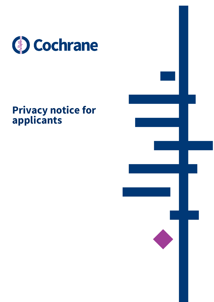

# **Privacy notice for applicants**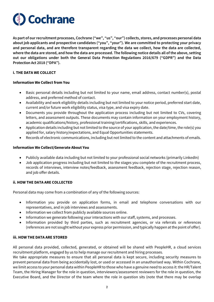

**As part of our recruitment processes, Cochrane ("we", "us", "our") collects, stores, and processes personal data about job applicants and prospective candidates ("you", "your"). We are committed to protecting your privacy and personal data, and are therefore transparent regarding the data we collect, how the data are collected, where the data are stored, and how the data are processed. The following notice details all of the above, setting out our obligations under both the General Data Protection Regulations 2016/679 ("GDPR") and the Data Protection Act 2018 ("DPA").**

## **i. THE DATA WE COLLECT**

#### **Information We Collect from You**

- Basic personal details including but not limited to your name, email address, contact number(s), postal address, and preferred method of contact.
- Availability and work eligibility details including but not limited to your notice period, preferred start date, current and/or future work eligibility status, visa type, and visa expiry date.
- Documents you provide throughout the application process including but not limited to CVs, covering letters, and assessment outputs. These documents may contain information on your employment history, academic qualifications/history, professional training/certifications, skills, and experiences.
- Application details including but not limited to the source of your application, the date/time, the role(s) you applied for, salary history/expectations, and Equal Opportunities statements.
- Records of electronic communications, including but not limited to the content and attachments of emails.

#### **Information We Collect/Generate About You**

- Publicly available data including but not limited to your professional social networks (primarily LinkedIn)
- Job application progress including but not limited to the stages you complete of the recruitment process, records of interviews, interview notes/feedback, assessment feedback, rejection stage, rejection reason, and job offer details.

#### **ii. HOW THE DATA ARE COLLECTED**

Personal data may come from a combination of any of the following sources:

- Information you provide on application forms, in email and telephone conversations with our representatives, and in job interviews and assessments.
- Information we collect from publicly available sources online.
- Information we generate following your interactions with our staff, systems, and processes.
- Information provided by third parties, such as recruitment agencies, or via referrals or references (references are not sought without your express prior permission, and typically happen at the point of offer).

#### **iii. HOW THE DATA ARE STORED**

All personal data provided, collected, generated, or obtained will be shared with PeopleHR, a cloud services recruitment platform, engaged by us to help manage our recruitment and hiring processes.

We take appropriate measures to ensure that all personal data is kept secure, including security measures to prevent personal data from being accidentally lost, or used or accessed in an unauthorised way. Within Cochrane, we limit access to your personal data within PeopleHR to those who have a genuine need to access it: the HR/Talent Team, the Hiring Manager for the role in question, interviewers/assessment reviewers for the role in question, the Executive Board, and the Director of the team where the role in question sits (note that there may be overlap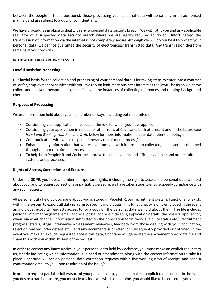between the people in those positions). those processing your personal data will do so only in an authorised manner, and are subject to a duty of confidentiality.

We have procedures in place to deal with any suspected data security breach. We will notify you and any applicable regulator of a suspected data security breach where we are legally required to do so. Unfortunately, the transmission of information via the internet is not completely secure. Although we will do our best to protect your personal data, we cannot guarantee the security of electronically transmitted data. Any transmission therefore remains at your own risk.

## **iv. HOW THE DATA ARE PROCESSED**

### **Lawful Basis for Processing**

Our lawful basis for the collection and processing of your personal data is for taking steps to enter into a contract of, or for, employment or services with you. We rely on legitimate business interest as the lawful basis on which we collect and use your personal data, specifically in the instances of collecting references and running background checks.

## **Purposes of Processing**

We use information held about you in a number of ways, including but not limited to:

- Considering your application in respect of the role for which you have applied.
- Considering your application in respect of other roles at Cochrane, both at present and in the future (see *How Long We Keep Your Personal Data* below for more information on our data retention policy).
- Communicating with you in respect of the/any recruitment process/es.
- Enhancing any information that we receive from you with information collected, generated, or obtained throughout our recruitment processes.
- To help both PeopleHR and Cochrane improve the effectiveness and efficiency of their and our recruitment systems and processes.

#### **Rights of Access, Correction, and Erasure**

Under the GDPR, you have a number of important rights, including the right to access the personal data we hold about you, and to request corrections or partial/full erasure. We have taken steps to ensure speedy compliance with any such request.

All personal data held by Cochrane about you is stored in PeopleHR, our recruitment system. Functionality exists within the system to export all data relating to specific individuals. This functionality is only employed in the event an individual explicitly requests access to, or a copy of, the personal data we hold about them. The file includes personal information (name, email address, postal address, title etc.), application details (the role you applied for, when, via what channel, information submitted on the application form, work eligibility status etc.), recruitment progress (status, stage, interviewers/assessment reviewers, feedback from those dealing with your application, rejection reasons, offer details etc.), and any documents submitted, or subsequently provided or obtained. In the event you make an explicit request to access this data, Cochrane will generate the abovementioned data file and share this with you within 30 days of the request.

In order to correct any inaccuracies in your personal data held by Cochrane, you must make an explicit request to us, clearly indicating which information is in need of amendment, along with the correct information to take its place. Cochrane will act on personal data correction requests within five working days of receipt, and send a confirmation email to you upon resolution of the issue/s.

In order to request partial or full erasure of your personal data, you must make an explicit request to us. In the event you desire a partial erasure, you must clearly indicate which data points you would like to be erased. If you do not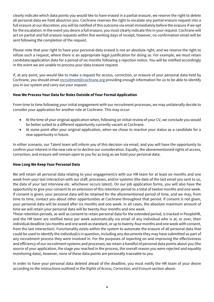clearly indicate which data points you would like to have erased in a partial erasure, we reserve the right to delete all personal data we hold about/on you. Cochrane reserves the right to escalate any partial erasure request into a full erasure at our discretion; you will be notified of this outcome via email immediately before the erasure if we opt for the escalation. In the event you desire a full erasure, you must clearly indicate this in your request. Cochrane will act on partial and full erasure requests within five working days of receipt, however, no confirmation email will be sent following the completion of the request.

Please note that your right to have your personal data erased is not an absolute right, and we reserve the right to refuse such a request, where there is an appropriate legal justification for doing so. For example, we must retain candidate/application data for a period of six months following a rejection notice. You will be notified accordingly in the event we are unable to process your data erasure request.

If, at any point, you would like to make a request for access, correction, or erasure of your personal data held by Cochrane, you should emai[l recruitment@cochrane.org](mailto:recruitment@cochrane.org) providing enough information for us to be able to identify you in our system and carry out your request.

# **How We Process Your Data for Roles Outside of Your Formal Application**

From time to time following your initial engagement with our recruitment processes, we may unilaterally decide to consider your application for another role at Cochrane. This may occur:

- At the time of your original application when, following an initial review of your CV, we conclude you would be better suited to a different opportunity currently vacant at Cochrane.
- At some point after your original application, when we chose to reactive your status as a candidate for a new opportunity in future.

In either scenario, our Talent team will inform you of this decision via email, and you will have the opportunity to confirm your interest in the new role or to decline our consideration. Equally, the abovementioned rights of access, correction, and erasure will remain open to you for as long as we hold your personal data.

# **How Long We Keep Your Personal Data**

We will retain all personal data relating to your engagement/s with our HR team for at least six months and one week from your last interaction with our staff, processes, and/or systems (the date of the last email you sent to us, the date of your last interview etc. whichever occurs latest). On our job application forms, you will also have the opportunity to give your consent to an extension of this retention period to a total of twelve months and one week. If consent is given, your personal data will be retained for the aforementioned period of time, and we may, from time to time, contact you about other opportunities at Cochrane throughout that period. If consent is not given, your personal data will be erased after six months and one week. In all cases, the absolute maximum amount of time we will retain your personal data will be twenty-four months and one week.

These retention periods, as well as consent to retain personal data for the extended period, is tracked in PeopleHR, and the HR team are notified twice per week automatically via email of any individual who is at, or over, their individual deadline (six months and one week as standard, or up to twenty-four months and one week with consent, from the last interaction). Functionality exists within the system to automate the erasure of all personal data that could be used to identify the individual/s in question, including any documents they may have submitted as part of any recruitment process they were involved in. For the purposes of reporting on and improving the effectiveness and efficiency of our recruitment systems and processes, we retain a handful of personal data points about you (the source of your application, the stage you reached in the process, the overall reason you were rejected and equality monitoring data), however, none of these data points are personally traceable to you.

In order to have your personal data deleted ahead of the deadline, you must notify the HR team of your desire according to the instructions outlined in the *Rights of Access, Correction, and Erasure* section above.